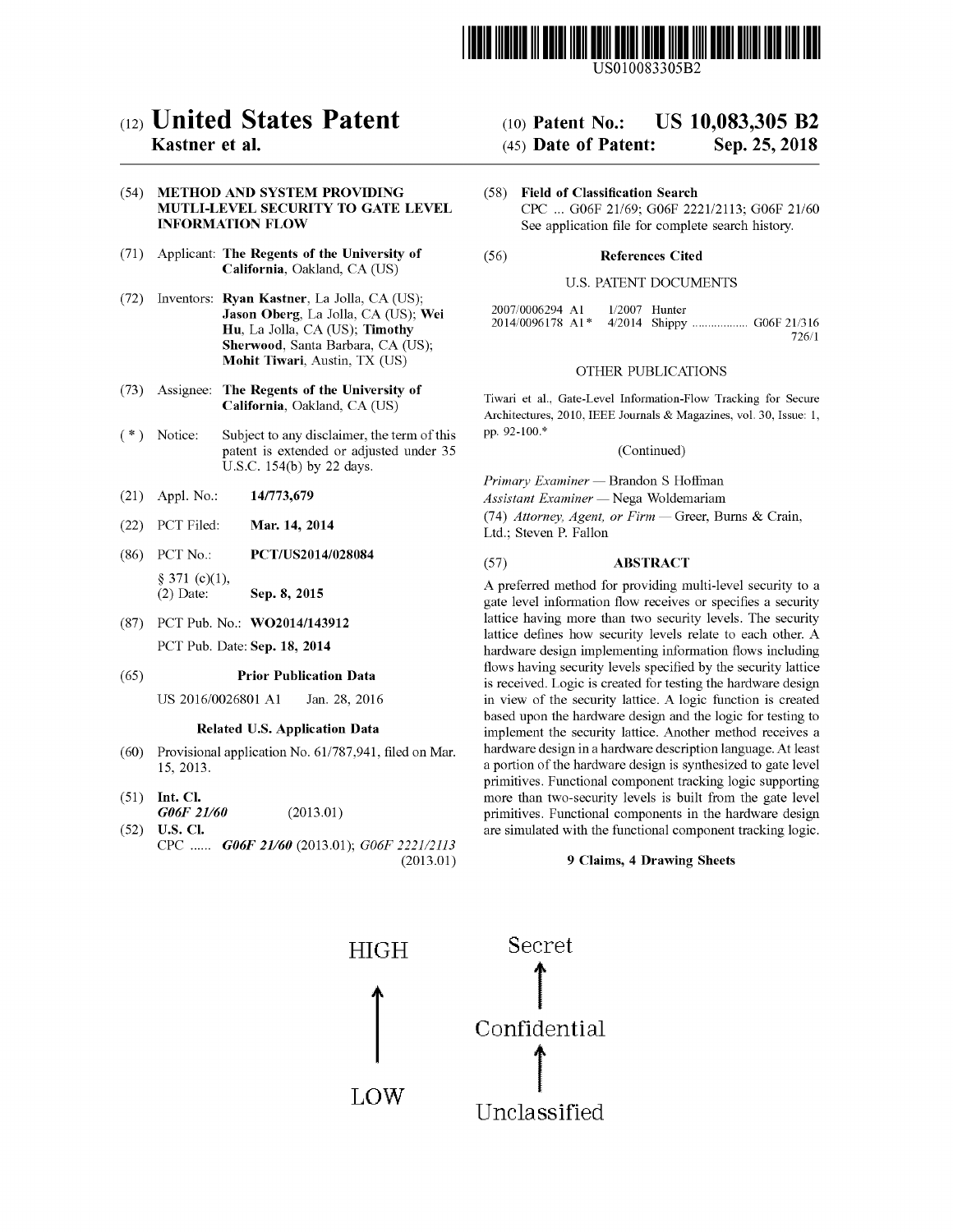

#### (54) METHOD AND SYSTEM PROVIDING MUTLI-LEVEL SECURITY TO GATE LEVEL INFORMATION FLOW

- $(71)$  Applicant: The Regents of the University of The Regents of the University of (56) References Cited California, Oakland, CA (US)
- (72) Inventors: Ryan Kastner, La Jolla, CA (US); Jason Oberg, La Jolla, CA (US); Wei<br>Hu, La Jolla, CA (US); Timothy Sherwood, Santa Barbara, CA (US); Mohit Tiwari, Austin, TX (US)
- (73) Assignee: The Regents of the University of **California**, Oakland, CA (US)<br>(\*) Notice: Subject to any disclaimer, the term of this
- patent is extended or adjusted under 35 U.S.C. 154(b) by 22 days.
- $(21)$  Appl. No.:
- (22) PCT Filed:
- (86) PCT No.:  $\S 371 (c)(1),$ <br>(2) Date: PCT/US2014/028084 Sep. 8, 2015
- (87) PCT Pub. No.: WO2014/143912 PCT Pub. Date: Sep. 18, 2014

#### @ ( 65 ) Prior Publication Data

US 2016/0026801 A1 Jan. 28, 2016

### Related U.S. Application Data

- (60) Provisional application No. 61/787,941, filed on Mar.<br>15, 2013.
- 
- (51) Int. Cl.<br> **G06F 21/60** (2013.01)<br>
(52) U.S. Cl.<br>
CPC ...... **G06F 21/60** (2013.01); *G06F 2221/2113* (2013.01)

# (12) **United States Patent** (10) Patent No.: US 10,083,305 B2<br>Kastner et al. (45) Date of Patent: Sep. 25, 2018

## $(45)$  Date of Patent: Sep. 25, 2018

( 58 ) Field of Classification Search CPC ... G06F 21/69; G06F 2221/2113; G06F 21/60 See application file for complete search history.

#### U.S. PATENT DOCUMENTS

| 2007/0006294 A1                | $1/2007$ Hunter |  |        |
|--------------------------------|-----------------|--|--------|
| $2014/0096178$ A1 <sup>*</sup> |                 |  |        |
|                                |                 |  | -726/1 |

#### OTHER PUBLICATIONS

California, Oakland, CA (US)<br>Architectures 2010 IEEE Journals & Magazines vol 30 Issue 1. Architectures, 2010, IEEE Journals & Magazines, vol. 30, Issue: 1,<br>pp. 92-100.\*

(Continued)

14 / 773 , 679 Primary Examiner — Brandon S Hoffman Assistant Examiner — Nega Woldemariam Mar. 14, 2014 (74) Attorney, Agent, or Firm — Greer, Burns & Crain,<br>Ltd.; Steven P. Fallon

#### ( 57 ) ABSTRACT

A preferred method for providing multi-level security to a gate level information flow receives or specifies a security lattice having more than two security levels. The security lattice defines how security levels relate to each other . A hardware design implementing information flows including flows having security levels specified by the security lattice is received. Logic is created for testing the hardware design in view of the security lattice . A logic function is created based upon the hardware design and the logic for testing to implement the security lattice . Another method receives a hardware design in a hardware description language . At least a portion of the hardware design is synthesized to gate level primitives . Functional component tracking logic supporting more than two - security levels is built from the gate level primitives. Functional components in the hardware design are simulated with the functional component tracking logic.

#### 9 Claims, 4 Drawing Sheets

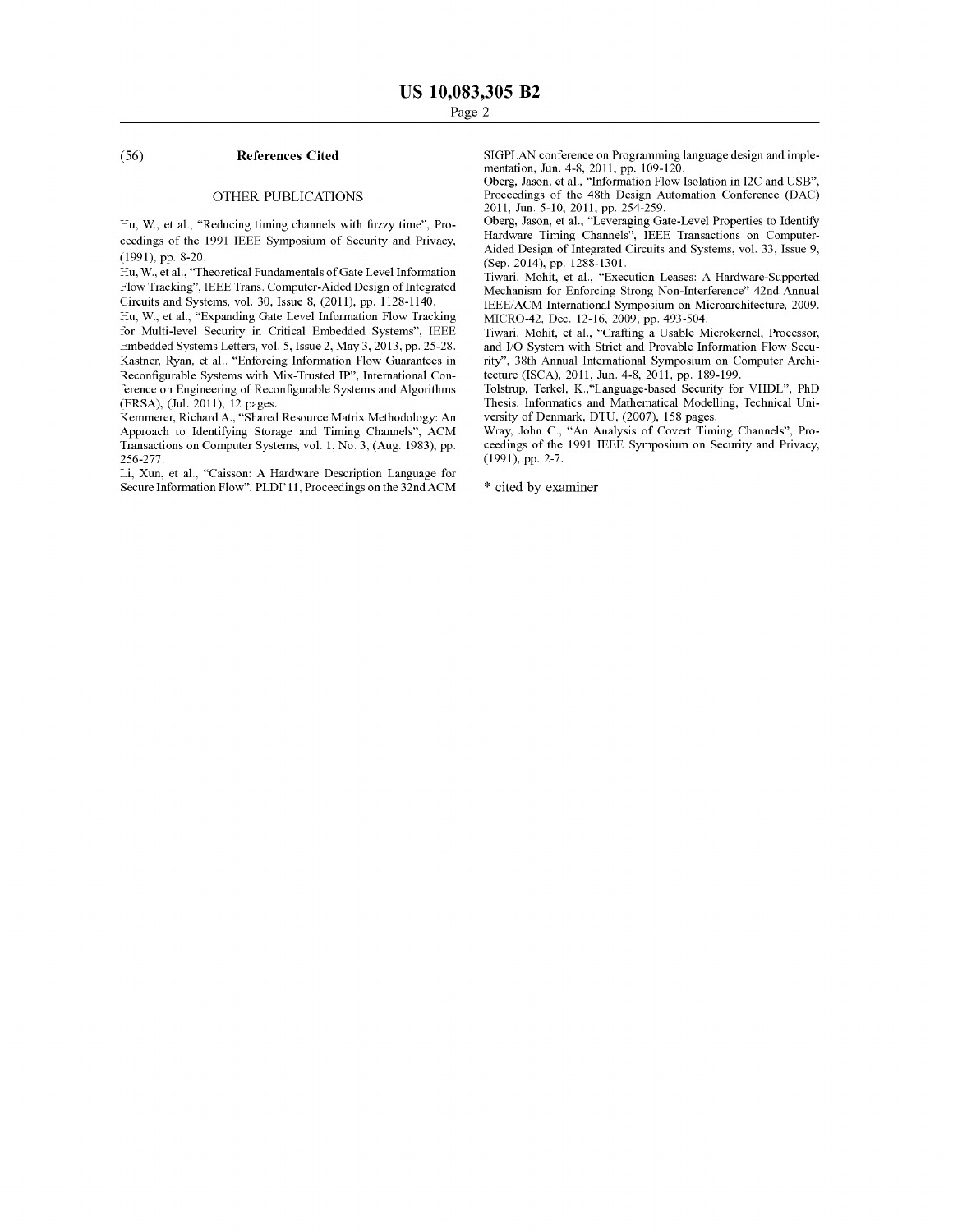#### (56) References Cited

#### OTHER PUBLICATIONS

Hu, W., et al., "Reducing timing channels with fuzzy time", Proceedings of the 1991 IEEE Symposium of Security and Privacy, (1991), pp. 8-20.<br>Hu, W., et al., "Theoretical Fundamentals of Gate Level Information<br>Flow Tracking", IEEE Trans. Computer-Aided Design of Integrated

Circuits and Systems, vol. 30, Issue 8, (2011), pp. 1128-1140.<br>Hu, W., et al., "Expanding Gate Level Information Flow Tracking

for Multi-level Security in Critical Embedded Systems", IEEE<br>Embedded Systems Letters, vol. 5, Issue 2, May 3, 2013, pp. 25-28. Kastner, Ryan, et al.. "Enforcing Information Flow Guarantees in Reconfigurable Systems with Mix-Trusted IP", International Conference on Engineering of Reconfigurable Systems and Algorithms (ERSA), (Jul. 2011), 12 pages.

Kemmerer, Richard A., "Shared Resource Matrix Methodology: An Approach to Identifying Storage and Timing Channels", ACM<br>Transactions on Computer Systems, vol. 1, No. 3, (Aug. 1983), pp. 256-277.<br>Li, Xun, et al., "Caisson: A Hardware Description Language for

Secure Information Flow", PLDI'11, Proceedings on the 32nd ACM

SIGPLAN conference on Programming language design and implementation, Jun. 4-8, 2011, pp. 109-120.<br>Oberg, Jason, et al., "Information Flow Isolation in I2C and USB", Proceedings of the 48th Design Automation Conference (DA

Oberg, Jason, et al., "Leveraging Gate-Level Properties to Identify Hardware Timing Channels". IEEE Transactions on Computer-

Aided Design of Integrated Circuits and Systems, vol. 33, Issue 9, (Sep. 2014), pp. 1288-1301.<br>Tiwari, Mohit, et al., "Execution Leases: A Hardware-Supported Mechanism for Enforcing Strong Non-Interference" 42nd Annual IEE

MICRO-42, Dec. 12-16, 2009, pp. 493-504.<br>Tiwari, Mohit, et al., "Crafting a Usable Microkernel, Processor,<br>and I/O System with Strict and Provable Information Flow Secu-<br>rity", 38th Annual International Symposium on Comput

Tolstrup, Terkel, K., "Language-based Security for VHDL", PhD Thesis, Informatics and Mathematical Modelling, Technical University of Denmark, DTU, (2007), 158 pages.

Wray, John C., "An Analysis of Covert Timing Channels", Proceedings of the 1991 IEEE Symposium on Security and Privacy, (1991), pp. 2-7.

\* cited by examiner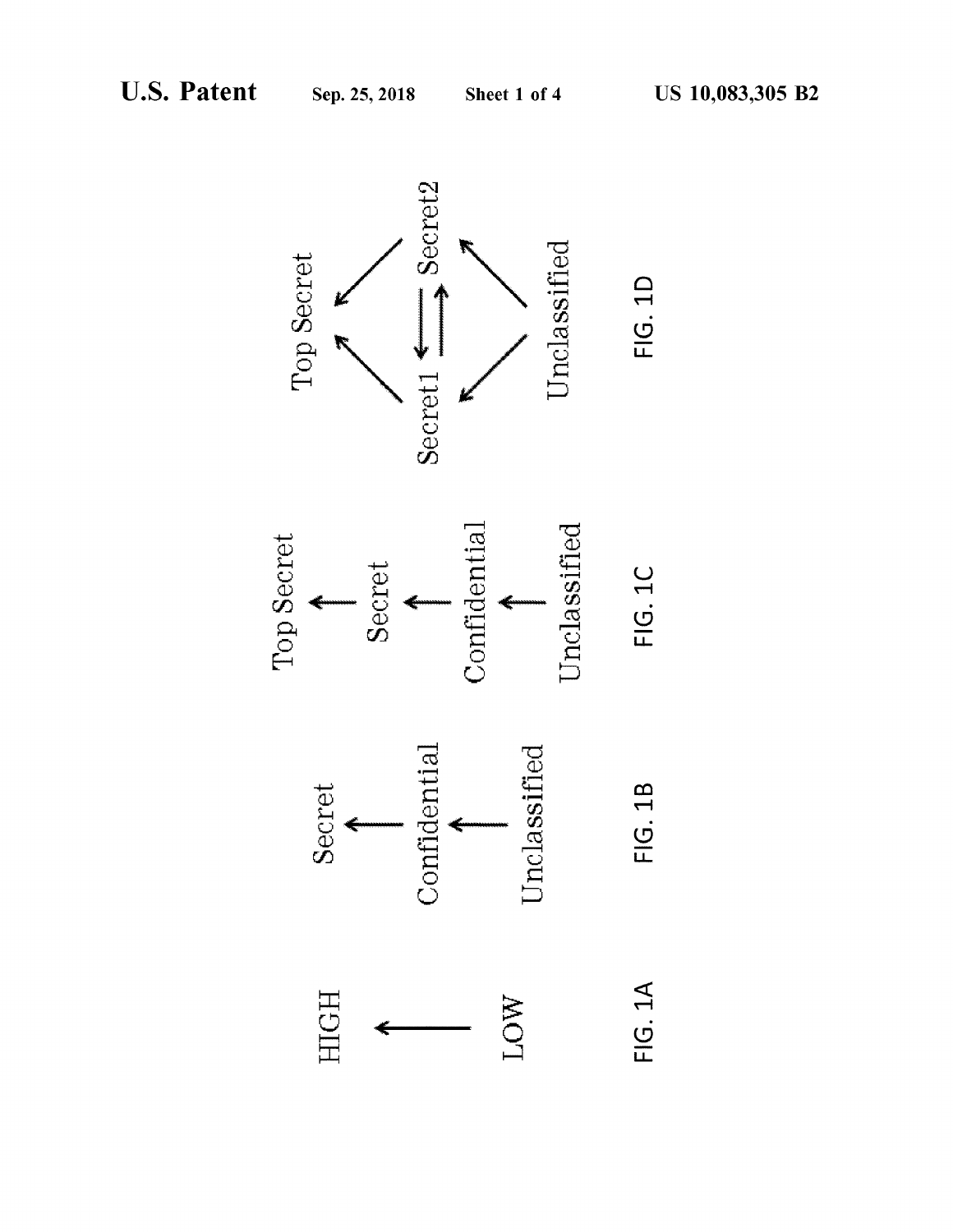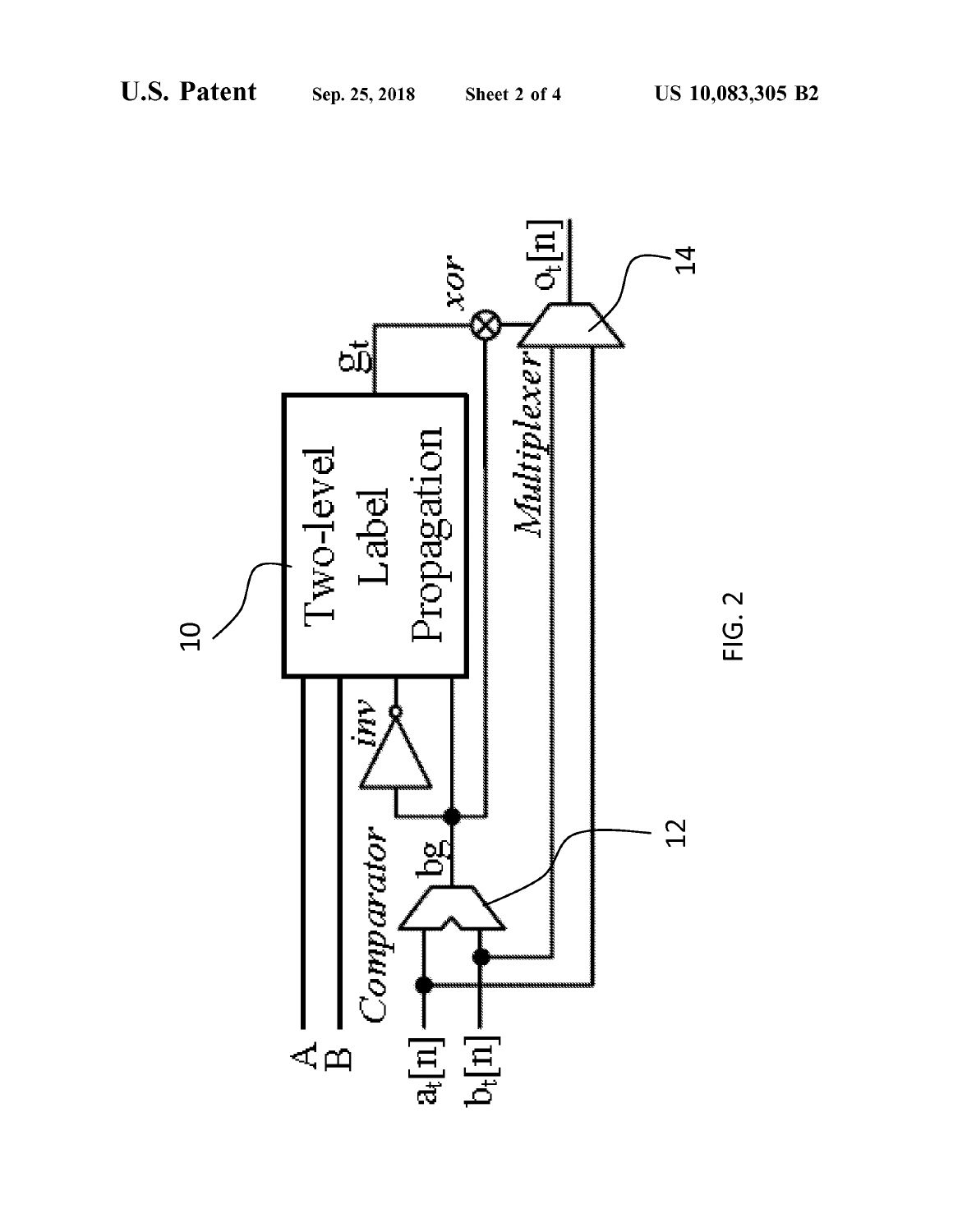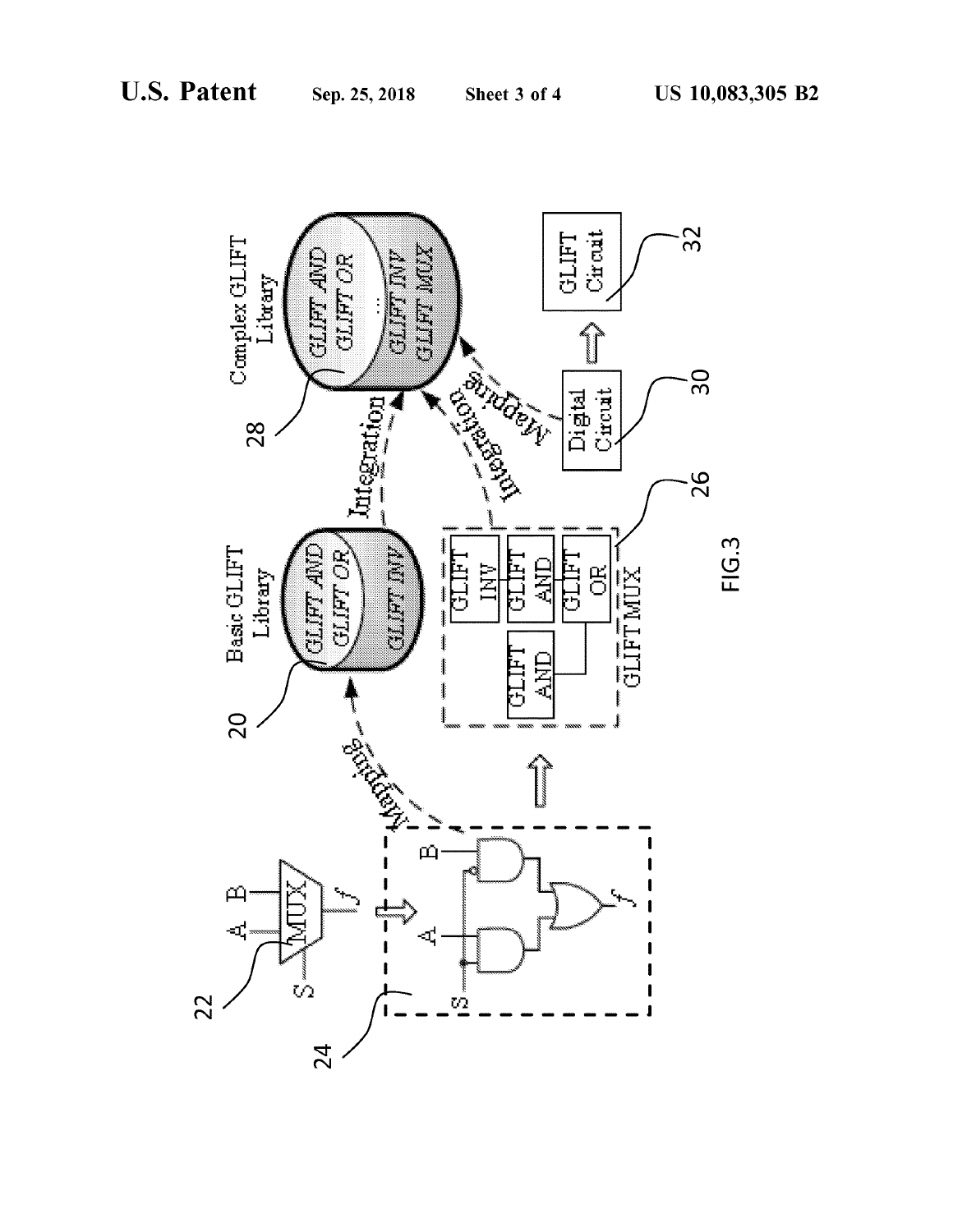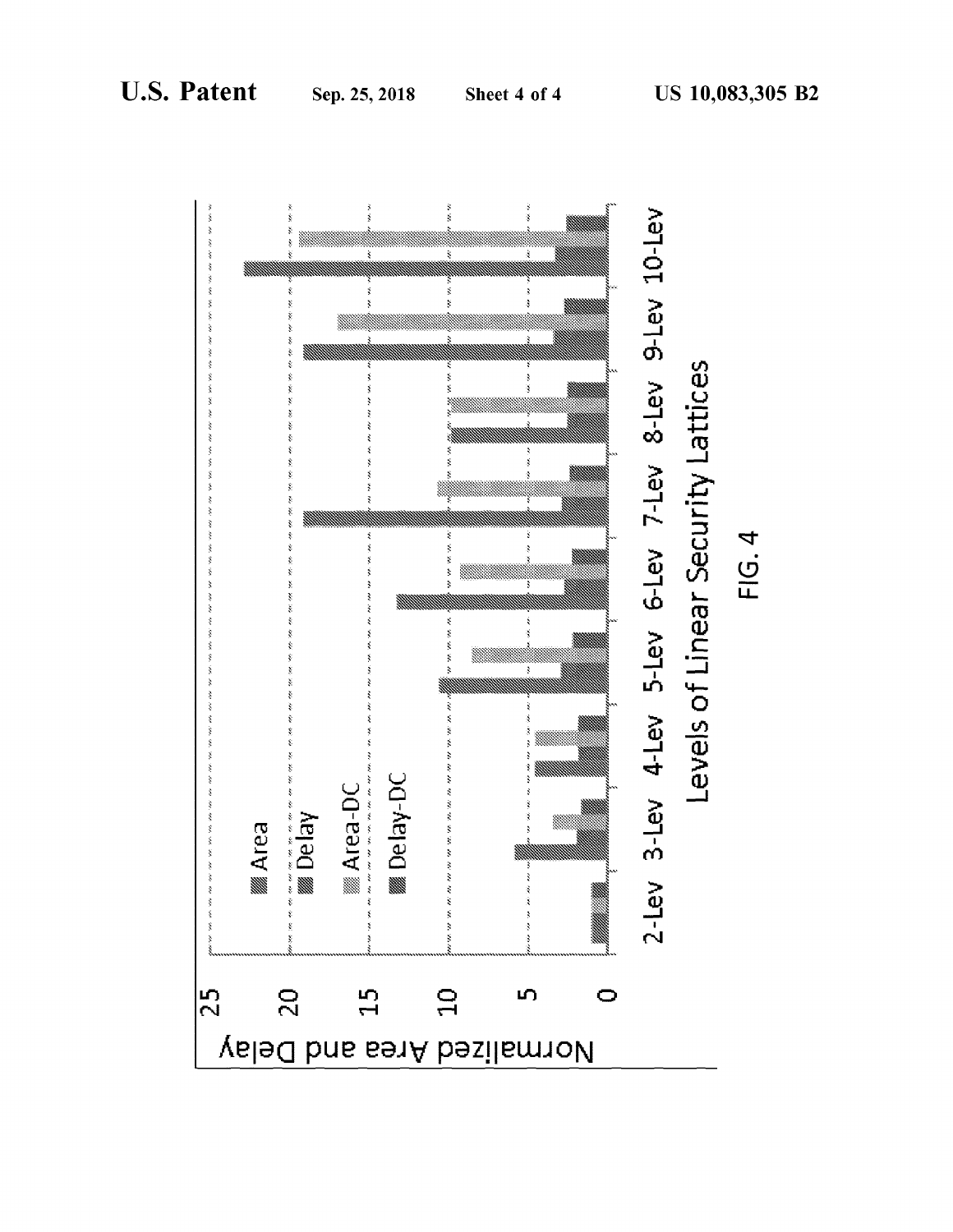

Sheet 4 of 4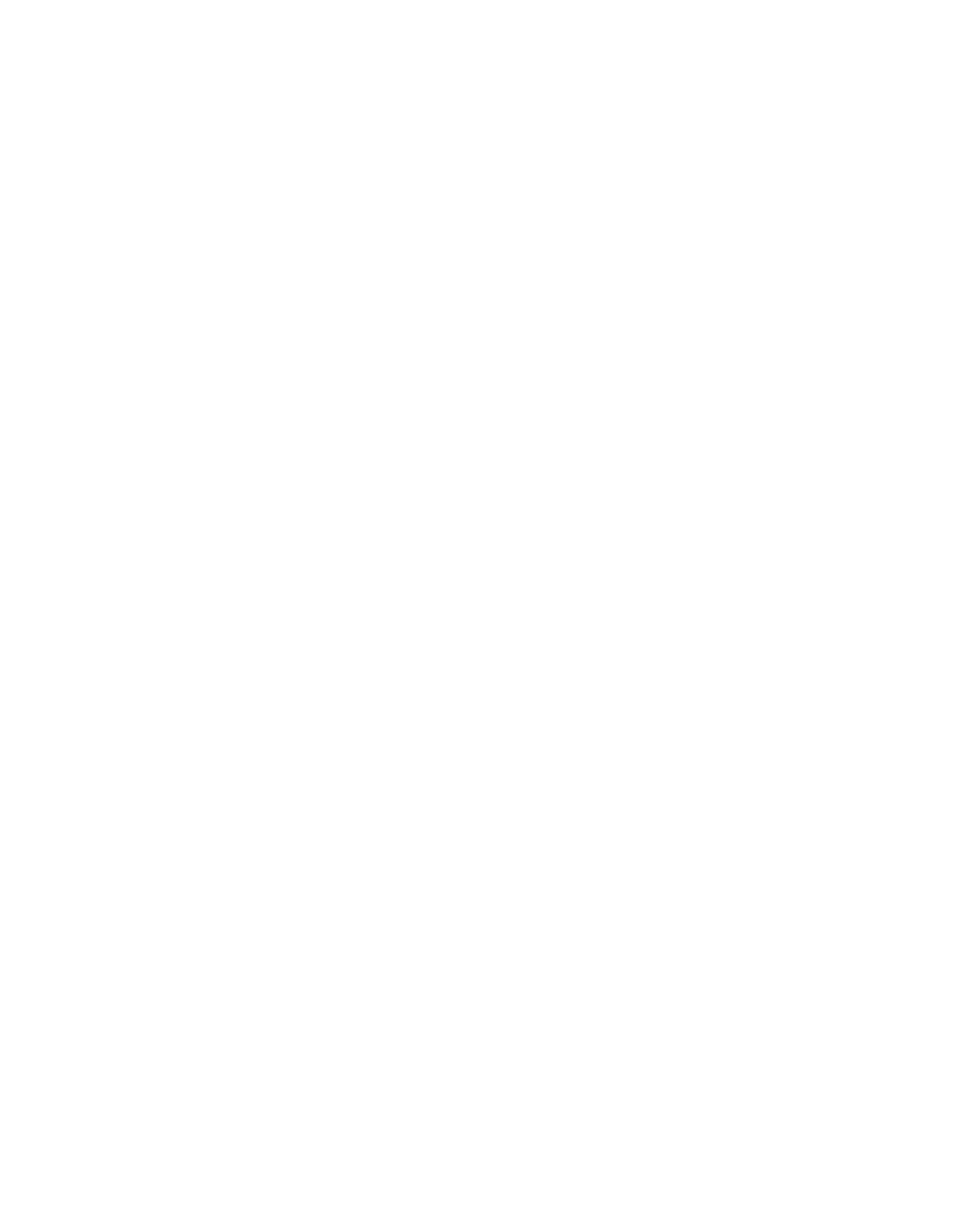$\overline{\phantom{a}}$ 

20

## METHOD AND SYSTEM PROVIDING **MUTLI-LEVEL SECURITY TO GATE LEVEL INFORMATION FLOW**

#### PRIORITY CLAIM AND REFERENCE TO RELATED APPLICATION

The application claims priority under 35 U.S.C. § 119 and from applicable treaties from prior provisional application  $10<sup>-10</sup>$ Ser. No. 61/787,941, which was filed Mar. 15, 2013.

#### **FIELD**

A field of the invention is data security. The invention concerns secure computing systems and computer infra-15 structures. The invention is widely applicable to digital devices and microprocessor based systems.

#### **BACKGROUND**

Critical embedded systems such as those found in military, industrial infrastructures, financial services infrastructures and medical devices require strict guarantees on information flow security. Security breaches can have extremely high costs in both monetary and human terms. These sys- 25 tems require rigorous design and testing to ensure that untrusted information never affects trusted computation or that secret information never leaks to unclassified domains. Cybersecurity is increasingly important as private and public institutions rely more and more on electronic data flow. 30 There are many examples of security breaches, and contrary interests will continue to attempt to obtain access.

Timing channels are a form of a so-called side channel that can be used by those that seek to exploit secure systems, including those in military, industrial and financial services 35 infrastructures. A side channel is created by a circuit element that leaks information unintentionally. Side channels can be exploited by adversaries to extract secret information or compromise the correct operation of high integrity components.

Modern embedded computing systems, including highly secure systems, increasingly rely upon embedded computing systems. Such systems often include a system-on-chip. A system-on-chip includes multiple cores, controllers or processors on integrated single microchip. The movement of 45 information in such systems should be tightly controlled to ensure security goals. This is challenging because information can flow through timing channels, which are difficult to detect. In turn, hardware designs that are insusceptible to timing channels are difficult to provide because the designs 50 can't be effectively tested for possible flaws that support timing channels.

Seminal work by Kemmerer [R. A. Kemmerer, "Shared resource matrix methodology: an approach to identifying storage and timing channels," ACM Trans. Comput. Syst., 55 pp. 256-277, 1983], described an informal shared-resource matrix to pin-point potential timing channels. Effective at higher computing abstractions, this technique becomes difficult to apply to embedded and application-specific designs.

A number of Ad-hoc approaches [M. Hu, "Reducing 60 timing channels with fuzzy time," in Proceedings of the 1991 IEEE Symposium on Security and Privacy, pp. 8-20, 1991], [. C. Wray, "An analysis of covert timing channels," in Proceedings of the 1991 IEEE Symposium on Security and Privacy, pp. 2-7, 1991] focus on introducing random 65 noise into a system to make extracting information stochastically difficult. These methods make a timing channel

harder to exploit (lower signal-to-noise ratio), but fail to identify whether a channel is timing-based. In addition, previous work using GLIFT has shown that strict information flow isolation can be obtained in a shared bus [J. Oberg,

et al., "Information flow isolation in I2C and USB," in Proceedings of Design Automation Conference (DAC) 2011, pp. 254-259, 2011.], but the work provides no ability to relate information to timing.

Typical information flow tracking strategies target hardware description languages [X. Li et al, Caisson: a hardware description language for secure information flow," in PLDI 2011, pp. 109-120, 20], [T. K. Tolstrup, Language-based Security for VHDL. PhD thesis, Informatics and Mathematical Modelling, Technical University of Denmark, D T U, 2007]. This can be effective to prevent timing channels from developing. However, these languages force a designer to rewrite code in a new language. This is especially cumbersome when already designed hardware modules need to be analyzed

There are two general classes of information flows: explicit and implicit. Explicit information flows result from two subsystems directly communicating. For example, an explicit flow occurs when a host and device on a bus directly exchange data. Implicit information flows are much more subtle. Implicit flows generally leak information through behavior. Typical implicit information flows show up in hardware in the form of timing, where information can be extracted from the latency of operations.

For example, it is known that that side channel timing attacks can be used to extract secret encryption keys from the latencies of caches and branch predictors, for example. Cache timing attacks can obtain the secret key by observing the time for hit and miss penalties of the cache. Branch predictor timing channels are exploited in a similar manner, when information is leaked through the latency of predicted and mis-predicted branches. It has also been recognized that the shared bus in modern systems is a source of concern. A so-called bus-contention channel has been recognized as permitting covert transmission of information through the 40 traffic on a global bus. See, e.g., W.-M. Hu, "Reducing timing channels with fuzzy time," Proceedings of the 1991 IEEE Symposium on Security and Privacy, pp. 8-20, 1991.

Information flow tracking (IFT) is a common method used in secure systems to ensure that secrecy and/or integrity of information is tightly controlled. Given a policy specifying the desired information flows, such as one requiring that secret information should not be observable by public objects, information flow tracking helps detect whether or not flows violating this policy are present.

Hardware assisted IFT methods have been deployed to capture harmful flows of information including those through hardware specific timing channels Implicit flows resulting from these timing channels have been shown to leak secret keys in stateful elements such as caches and branch predictors. In addition, such timing flows can cause violations in real-time constraints, hindering real-time operations of a system or even rendering the critical system useless. Further, these channels are so hard to detect that they are usually identified only after operational critical security policies have been violated. IFT is a frequently used technique for enforcing information flow control (IFC). IFT associates a label with data, and monitors the propagation of this label through the system to check if sensitive data leaks to an unclassified domain or if integrity-critical components are affected by untrusted data. IFT has been deployed at various abstraction levels of a computing system, including in programming languages, compiler/OS, instruction set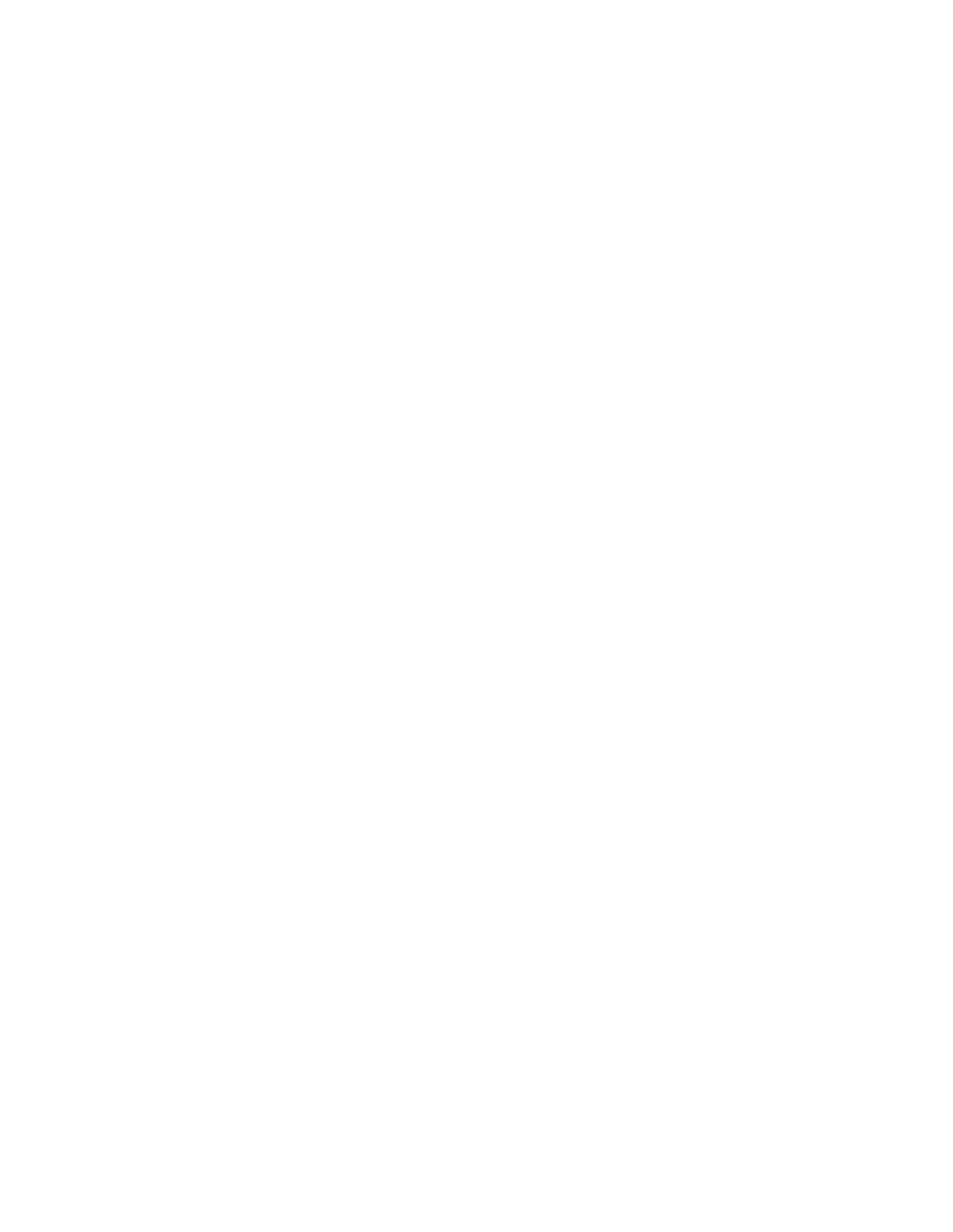architecture and runtime systems. However, previous methods are all at too high a level of abstraction to capture hardware specific timing channels

To fully account for information flow security in critical systems, researchers have proposed Gate-Level Information 5 Flow Tracking (GLIFT). See, Hu et al., "Theoretical Fundamentals of Gate Level Information Flow Tracking," IEEE Trans. Computer-Aided Design of Integrated Circuits and Systems (2011). GLIFT monitors all digital information flows by tracking individual bits through Boolean gates. At 10 such a low level of abstraction, GLIFT is able to capture all transition activities including register to register timing. As a result, all digital information flows are made explicit, including timing channels that are inherent in the underlying hardware implementation but invisible to programmers. Previous work by some of the inventors has illustrated the employment of GLIFT for building verifiably information flow secure high-assurance systems. GLIFT has been shown to be effective in detecting timing channels in bus protocols such as I2C and USB. See, Oberg et al., "Information flow 20 isolation in I2C and USB," Design Automation Conference (DAC), 2011 48th ACM/EDAC/IEEE.

An execution lease architecture was developed to strictly bound the effects of untrusted programs. See, M. Tiwari, et al., "Execution leases: a hardware-supported mechanism for 25 enforcing strong non-interference," in MICRO 2009, MICRO 42, pp. 493-504 (2009). This architecture employs GLIFT to show provable information flow isolation between different execution contexts. Further, GLIFT has been used to build a provably information flow secure system from the 30 ground level up. See, M. Tiwari, et al, "Crafting a usable microkernel, processor, and I/O system with strict and provable information flow security," Proc. of the 38th annual international symposium on Computer architecture (ISCA'11), pp. 189-200 (New York, N.Y., 2011). Although 35 GLIFT provides an effective approach for enforcing information flow security, the existing GLIFT method only targets a two-level linear security lattice and thus only considers two-level security labels, e.g., trusted < untrusted or, the dual, unclassified < confidential.  $40<sup>1</sup>$ 

Many systems benefit from or require multi-level security (MLS). For example, data objects in military usage are typically classified into at least four security levels, namely top secret, secret, confidential and unclassified. A two-level linear security lattice simply cannot be used for modeling 45 such a policy. In addition, many systems tend to be interested in non-linear lattices for modeling security policies.

For example, it is often desirable to have a policy which requires isolation of the highest security level (Top Secret) from several incomparable entities (e.g., Secret US and 50 Secret UK). That is, the model specifies that Secret US and Secret UK are at the same level but represent two different objects. More specifically, Top Secret might be the label for a data encryption process which requires that Secret US and Secret UK learn nothing other than the cipher-text while it 55 is perfectly secure for processes Secret US and Secret UK to learn information about one another. Prior applications of GLIFT can't provide more than two levels.

#### SUMMARY OF THE INVENTION

60

An embodiment of the invention expands gate level information flow tracking beyond two levels to more generalized security lattices in order to adapt to a wider range of systems. A preferred method for providing multi-level 65 security to a gate level information flow receives or specifies a security lattice having more than two security levels. The

4

security lattice defines how security levels relate to each other. A hardware design implementing information flows including flows having security levels specified by the security lattice is received. Logic is created for testing the hardware design in view of the security lattice. A logic function is created based upon the hardware design and the logic for testing to implement the security lattice.

A method for providing multi-level security to a gate level information flow receives a hardware design in a hardware description language. At least a portion of the hardware design is synthesized to gate level primitives. Functional component tracking logic supporting more than two-security levels is built from the gate level primitives. Functional components in the hardware design are simulated with the functional component tracking logic.

## BRIEF DESCRIPTION OF THE DRAWINGS

FIG. 1A illustrates a two-level security lattice;

FIGS. 1B-1D illustrate multi-level security lattices;

FIG. 2 illustrates a method and example hardware implementation of the invention for providing gate level information flow tracking (GLIFT) for generalized n-level lattice;

FIG. 3 illustrates a constructive method of the invention for providing generalized multi-level GLIFT while reducing the general GLIFT logic generation problem to solving just two-input gates; and

FIG. 4 illustrates experimental simulation results comparing area and delay of tracking logic for AND-2 under n-level linear lattices normalized to those under two-level linear lattice.

#### DESCRIPTION OF THE PREFERRED **EMBODIMENTS**

Methods of the invention meet high-level requirements for both integrity and confidentiality. Methods of the invention incorporate a formal model of information flow security. The model classifies data objects in a system into different security levels, tracks the flow of information between security domains, and enforces a specific security policy such as non-interference. While non-interference is a strong and useful security policy, it requires tight information flow control (IFC) to prevent unintended interactions between different system components resulting from harmful flows of information.

Preferred methods of the invention can be implemented via computer code stored on a non transient medium. Methods of the invention can also be implemented in hardware devices and systems that connected to microprocessors or other devices being evaluated for timing channels.

Information flow tracking (IFT) is a frequently used technique for enforcing IFC. IFT associates a label with data, and monitors the propagation of this label through the system to check if sensitive data leaks to an unclassified domain or if integrity-critical components are affected by untrusted data. IFT has been deployed at various abstraction levels of a computing system, including in programming languages, compiler/OS, instruction set architecture and runtime systems. However, previous methods are all at too high a level of abstraction to capture hardware specific timing channels. With more functional units, such as security primitives, being built into hardware to meet performance and power constraints, the present invention recognizes that embedded security be enforced from the underlying hardware up.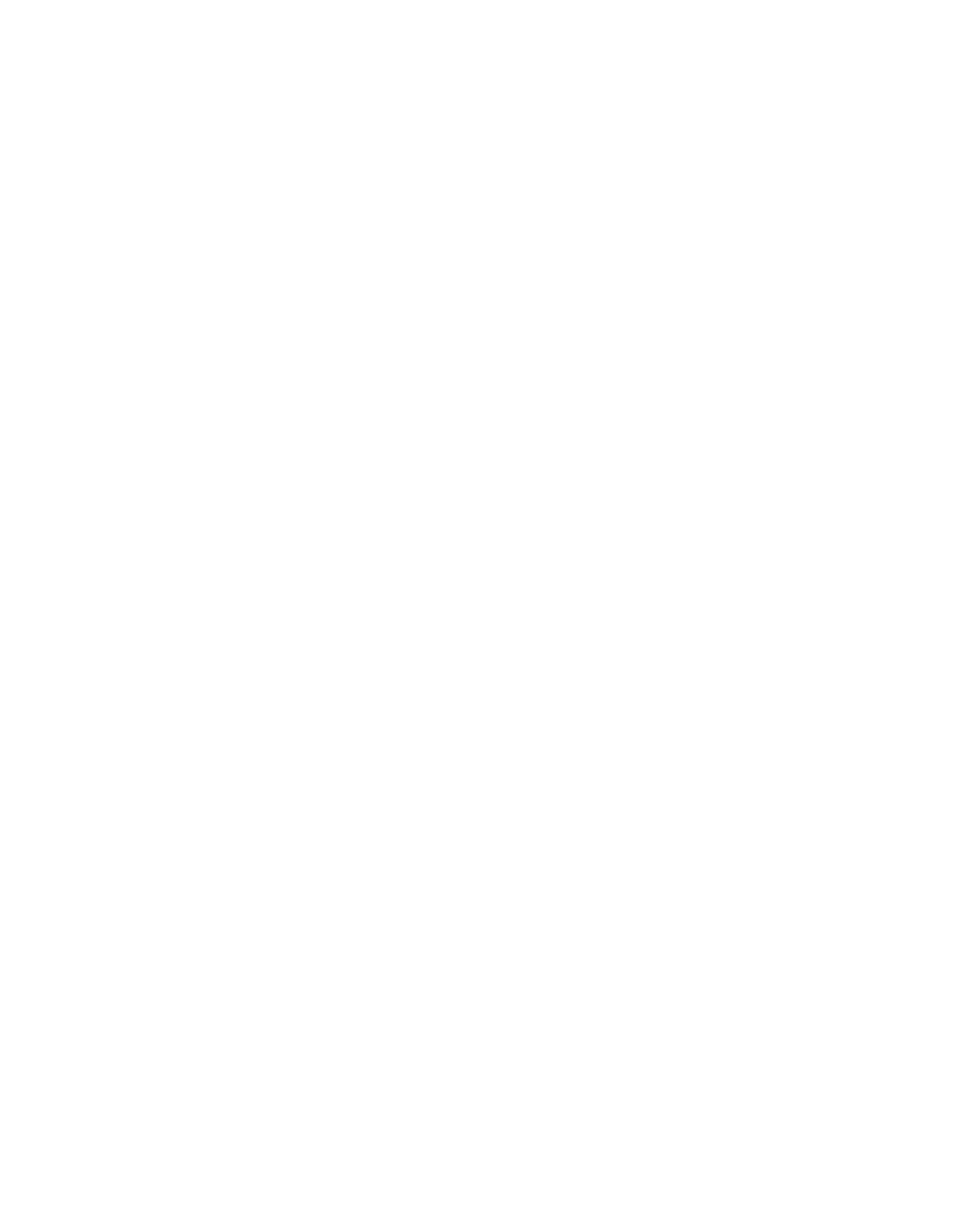35

45

 $50^{\circ}$ 

55

 $60^{\circ}$ 

65

Particular embodiment methods of the invention provide the secure control of mission critical data flows through computer systems. Particular example systems that can benefit from such data include medical devices, banking systems or military operations. Methods of the invention can serve to limit, detect and/or prevent tagging of information at the bit level such that it can be followed through a computer system to test for security leaks or the potential for unwanted data to be added into a secure system. The state of the art hardware level information tracking however only allows for a binary determination of whether data is "trusted" or "un-trusted". In real world applications, security levels can be many and include, for example, the military's use of "top secret", "secret", "classified" and "un-classified". Embodiments of the invention provide a new ability to track data of different pedigrees.

Embodiments of the invention receive a design that is in a hardware description language. The design, or at least a portion of the design is synthesized down into low level  $_{20}$ hardware components—gate level primitives. Multi-level security tracking logic is then added to these gate level primitives. The hardware design can then be tested in a multi-security setting. That is, particular inputs can be labeled automatically or with user input or selection prompts  $\,$  25  $\,$ via a user interface as 'top secret', 'secret1', etc. and information flows about those inputs can be analyzed via the code and information presented about the same can be presented through a user interface.

Testing can determine, for example, whether or not 'top secret' information is leaking to an 'unclassified' location. A hardware design can be analyzed by the method with respect to a multi-level general security policy to maintain distinctions between each of the multiple levels of security.

Preferred embodiments of the invention will now be discussed with respect to the drawings. The drawings may include schematic representations, which will be understood by artisans in view of the general knowledge in the art and the description that follows. Features may be exaggerated in  $_{40}$ the drawings for emphasis, and features may not be to scale.

A preferred method of the invention accepts a security lattice as an input. In the art, a lattice model is known for describing communication channels and information flows policies. An information flow policy can be modeled as a finite security lattice  $\{SC, \sqsubseteq\}$ , where SC is the set of security classes indicating different security levels of data objects and  $\square$  defines the partial order on these security classes. Let  $L:O \rightarrow SC$  be a function which returns the security class of its input object O. For example,  $L(x)$ denotes the security class of an object  $x \in O$  The security class of A is no higher (or more restrictive) than that of B if  $L(A) \sqsubseteq L(b)$ . In this case, information flowing from A to B will not violate the policy specified by the lattice and thus is secure.

FIGS. 1A-D illustrate few simple security lattices. In FIGS. 1A-1C, there are respectively two, three and four levels of security. As indicated by the arrows, the information flow is only permitted from a lower level up to higher levels, and not in the reverse direction. The example of FIG. 1D includes additional possible flows between levels Secret1 and Secret2. This is a military square lattice, and includes four security classes, i.e., SC={S0, S1, S2, S4}. In confidentiality analysis, S3 may stand for Top Secret, S0 can be Unclassified; S1 and S2 are two incomparable security classes that reside between Top Secret and Unclassified. The

partial order defined by the lattice is  $SO^{\delta} S1$ ,  $SO^{\delta} S2$ ,  $S1^{\delta} S3$ ,

and  $S2^{\delta}$  S3. The arrows show the permissible information flows that do not lead to a security violation.

Let  $\oplus$  denote the least upper bound operator on security classes. Given two security classes S1 and S2, S1⊕S2 calculates the most restrictive security class S, satisfying that  $SI\overline{\smile} S$  and  $S2\overline{\smile} S$ . For the military square lattice of FIG. 1D, we have  $S0 \oplus S1 = S1$  and  $S1 \oplus S2 = S3$ . Previous IFC methods tend to be conservative in calculating the security class for the output of an operation since they do not consider the value that the objects can take and consider solely its security level. A higher security level will often not affect a lower one, even if it is involved in a computation. Specifically, consider n data objects A1, A2, . . . , An belonging to security classes  $S1, S2, \ldots, S<sup>n</sup>$  respectively. When an operation is performed on these data objects, the security class of the output will be determined using equation (1). This is doubtlessly secure since we have  $L(Ai) \square S$ ,  $i-1, 2, \ldots$ , n. However, it can be conservative because information contained in the data objects may not necessarily affect the output.

$$
S = S1 \oplus S2 \oplus \ldots \oplus Sn \tag{1}
$$

GLIFT with the invention provides a more precise approach to IFC in that the output is bounded to the most restrictive security class whose data actually has an influence at the output. Prior GLIFT methods are only capable of targeting the two-level linear lattice of FIG. 1A. Table 1 defines the symbolic rules, namely label propagation rules, for calculating the security class of the output on an example two-input AND gate (AND-2). In the table, the symbol (S0, 0) represents a class S0 logic '0' input; (S1, 1) denotes a class S1 logic '1' input, and so forth.

TABLE 1

| GLIFT label propagation rules for AND-2<br>on the two-level linear security lattice. |         |         |         |         |  |  |  |
|--------------------------------------------------------------------------------------|---------|---------|---------|---------|--|--|--|
| AND                                                                                  | (S0, 0) | (S0, 1) | (S1, 0) | (S1, 1) |  |  |  |
| (S0, 0)                                                                              | (S0, 0) | (S0, 0) | (S0, 0) | (S0, 0) |  |  |  |
| (S0, 1)                                                                              | (S0, 0) | (S0, 1) | (S1, 0) | (S1, 1) |  |  |  |
| (S1, 0)                                                                              | (S0, 0) | (S1, 0) | (S1, 0) | (S1, 0) |  |  |  |
| (S1, 1)                                                                              | (S0, 0) | (S1, 1) | (S1, 0) | (S1, 1) |  |  |  |

Consider S0 and S1 as the trusted and untrusted security classes respectively. From row 4, column 1 of table 1, whenever one of the inputs of AND-2 is trusted 0, the output will be dominated to (S0, 0). In this case, information contained in the other input will not be able to flow to the output since its output will be a constant 0 regardless. This is opposed to the conventional operator which would have conservatively computed S0  $\oplus$  S1=S1 as the output label even though  $(S1, 1)$  has no affect on the output.

#### Example Three-Level Liner Security Lattice

Embodiments of the invention expand GLIFT to multilevel lattices. To illustrate an example embodiment, example security classes, the ordering of the classes and bit encodings are defined. The process illustrates also how to expand to a general N-level linear lattice and a four-level square. In the example three-level linear security lattice, the security classes are  $SC = \{S0, S1, S2\}$ . One can expand two rows and columns upon Table 1 to include label propagation rules defined for S2, which is shown in Table 2. This also indicates the compatibility and reducibility of label propagation rules among different linear security lattices.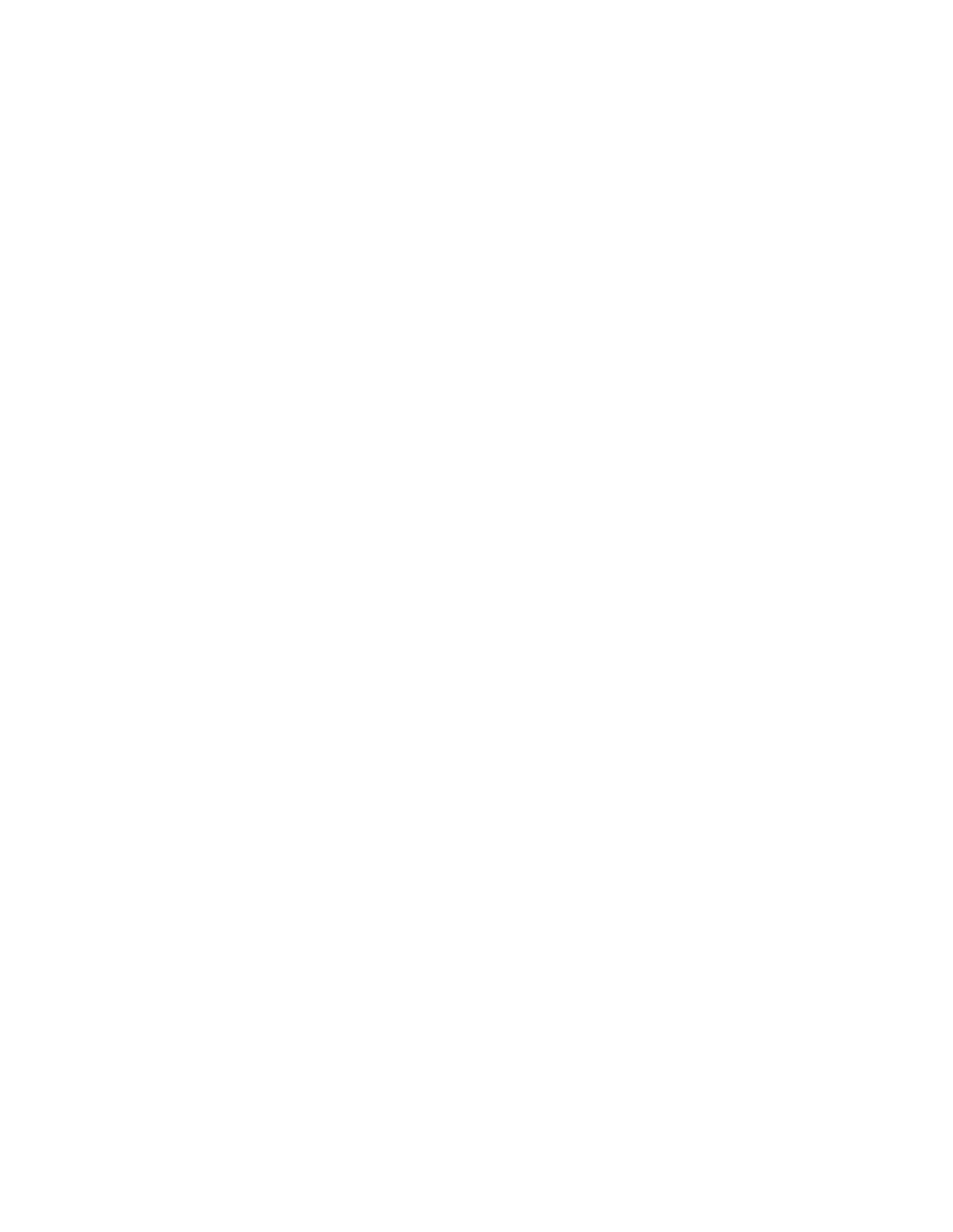5

15

25

 $40$ 

 $45$ 

| GLIFT LABEL PROPAGATION RULES FOR AND-2 ON THE<br>THREE-LEVEL LINEAR SECURITY LATTICE. |                                                                |                                                                |                                                                |                                                                |                                                                |                                                                |  |  |
|----------------------------------------------------------------------------------------|----------------------------------------------------------------|----------------------------------------------------------------|----------------------------------------------------------------|----------------------------------------------------------------|----------------------------------------------------------------|----------------------------------------------------------------|--|--|
| AND                                                                                    | (S0, 0)                                                        | (S0, 1)                                                        | (S1, 0)                                                        | (S1, 1)                                                        | (S2, 0)                                                        | (S2, 1)                                                        |  |  |
| (S0, 0)<br>(S0, 1)<br>(S1, 0)<br>(S1, 1)<br>(S2, 0)<br>(S2, 1)                         | (S0, 0)<br>(S0, 0)<br>(S0, 0)<br>(S0, 0)<br>(S0, 0)<br>(S0, 0) | (S0, 0)<br>(S0, 1)<br>(S1, 0)<br>(S1, 1)<br>(S2, 0)<br>(S2, 1) | (S0, 0)<br>(S1, 0)<br>(S1, 0)<br>(S1, 0)<br>(S1, 0)<br>(S1, 0) | (S0, 0)<br>(S1, 1)<br>(S1, 0)<br>(S1, 1)<br>(S2, 0)<br>(S2, 1) | (S0, 0)<br>(S2, 0)<br>(S1, 0)<br>(S2, 0)<br>(S2, 0)<br>(S2, 0) | (S0, 0)<br>(S2, 1)<br>(S1, 0)<br>(S2, 1)<br>(S2, 0)<br>(S2, 1) |  |  |

We use A, B and O to denote the objects representing the inputs and output of AND-2 respectively. Their security classes are denoted by  $a_t$ ,  $b_t$  and  $o_t$  respectively. The GLIFT logic for AND-2 can be derived from table 2, which are shown in  $(2)$  and  $(3)$ .

$$
o_t[1] = Ba_t[1]\overline{a_t[0]}b_t[1] + A\overline{a_t[1]}b_t[1]\overline{b_t[0]} + a_t[1]\overline{a_t[0]}b_t[1]\overline{b_t[0]} \tag{2}
$$

$$
o_t[0] = B\overline{a_t[1]}a_t[0]\overline{b_t[1]} + \overline{B}a_t[1]\overline{a_t[0]}b_t[1]\overline{b_t[0]} +
$$
  

$$
\overline{Aa_t[1]}a_t[0]b_t[1]\overline{b_t[0]} + A\overline{a_t[1]}b_t[1]\overline{b_t[0]} + \overline{a_t[1]}a_t[0]\overline{b_t[1]}b_t[0]
$$
 (3)

For the example three-level linear lattice, two-bit labels are used to denote three security classes. This leads to a don't-care input set because two binary bits can encode a total of four security classes. As an example, assume S0, S1 and S2 are assigned binary codes "00", "01" and "10" 30 respectively. Then, the input pattern "11" will be don't-care condition. Such don't-care input combinations will not lead to a security policy violation since the fourth security class is undefined. However, denoting such don't-care conditions to the logic synthesizer will lead to better implementation results. Equations (4) and (5) give the GLIFT logic with consideration of the don't-care input set. These are less complex as compared to  $(2)$  and  $(3)$  respectively.

$$
o_t[1] = Ba_t[1] + Ab_t[1] + a_t[1]b_t[1] \tag{4}
$$

 $(5)$  $o_t[0] =$  $Ba_t[0]\overline{b_t[1]} + \overline{B}a_t[1]b_t[0] + A\overline{a_t[1]}b_t[0] + \overline{A}a_t[0]b_t[1] + a_t[0]b_t[0]$ 

For the n-level linear lattice, there are a total of  $(2 n)^2$ entries in the label propagation rule table. Thus, this approach will soon become intractable as n grows. Preferred embodiments provide an alternate way to derive GLIFT 50 logic under arbitrary level of linear lattices.

N-Level Security Lattice

FIG. 2 illustrates a preferred method of the invention toward deriving GLIFT logic under an n-level linear lattice, which converts two-level GLIFT security labels to n-Level 55 security level lattice. In FIGS. 2, A and B are the data inputs. The inputs A and B are provided to a two-level label propagation logic 10. The Two-Level Label Propagation logic can be the label propagation for any 2-level GLIFT logic function, including prior GLIFT discussed in the 60 background of the application. The variables  $a$ [n] and  $b$ [n] are security labels of the inputs A and B. The n here represents the size of the linear lattice, in other words, a,[n] and b<sub>*z*[n]</sub> are from an n-level lattice. A comparator 12 compares the security levels of  $a_t[n]$  and  $b_t[n]$  and identifies 65 the higher level security label. The wire bg represents which label is of higher security, having been identified by the

comparator 12. The write  $g_t$  is the output of the 2-level label propagation block and  $o<sub>i</sub>[n]$  is the security label of the output.

Since each two of the security classes within an n-level linear lattice are comparable, the comparator 10 can be used to convert the input labels, *i.e.*, security classes, to two-level and use the GLIFT logic under the two-level linear lattice for label propagation in the logic 12. Preferred GLIFT logic for the two-level linear lattice for label propagation is given in J. Oberg, et al., "Theoretical Analysis of Gate Level Information Flow Tracking," Proc. Of the Design Automation Conference (DAC) pp. 244-47 (2010). At the output stage, a multiplexer 14 is used to select the correct security class according to the output from the GLIFT logic. This approach expands GLIFT to arbitrary linear security lattices.

GLIFT logic according to FIG. 2 for the AND-2 gate is given in  $(6)$  and  $(7)$ . The logic is obtained under the four-level lattice by expanding the propagation rule set of Table II and applying the FIG. 2 logic. It remains constant even as n grows.

$$
o_t[1] = Ba_t[1] + Ab_t[1] + a_t[1]b_t[1]
$$
\n<sup>(6)</sup>

$$
o_t[0] = Ba_t[1]a_t[0] + Ba_t[1]b_t[1]b_t[0] + Ba_t[0]b_t[1] +
$$
  

$$
A\overline{a_t[1]}b_t[0] + \overline{Aa_t[1]}a_t[0]b_t[1] + Ab_t[1]b_t[0] + a_t[0]b_t[0]
$$

For an m-level linear lattice, it is possible to use the comparator for the n-level linear lattice. There can be an additional don't-care input set for an m-level linear lattice. By choosing a proper n satisfying  $| \log_2 m | = | \log_2 n |$ , m or denoting the don't-care conditions to the logic synthesizer, one can obtain optimized GLIFT logic with reduced area and delay.

Military Square Lattice

FIG. 1D show an example military square lattice. A principle difference between the military square lattice and linear ones such as shown in FIGS. 1B and 1C is that the square lattice contains incomparable security classes, i.e., S1 and S2. This results in more subtle cases in label propagation. As an example, consider AND-2 with inputs  $(S1, 0)$  and (S2, 0). The output is doubtless logic '0'. In this case, both inputs have an influence at the output. Which label to choose at the output is not obvious since neither S1 or S2 is more restrictive than the other. Fortunately, S1, S2 and even S3 are all safe security classes for the output since they will not lead to an information security policy violation. However, S1 and S2 are more restrictive than S3. Thus, either S1 or S2 can be selected as the security class for the output.

To make it different from the four-level linear lattice, we choose S1 for the AND-2 gate while S2 for the two-input OR gate (OR-2) when both S1 and  $S<sup>2</sup>$  are safe. Under such convention, the GLIFT logic for AND-2 under the military square lattice can be formalized as follows:

$$
o_t[1] = Ba_t[1]\overline{b_t[0]} + Ba_t[1]a_t[0] + A\overline{B}b_t[1] +
$$
  

$$
\overline{A}Ba_t[1] + A\overline{a_t[0]}b_t[1] + Ab_t[1]b_t[0] + a_t[1]b_t[1]
$$
 (8)

$$
o_t[0]=
$$

#### $\overline{B}a_t[1]\overline{b_t[1]}b_t[0] + Ba_t[0] + \overline{Aa_t[1]}a_t[0]b_t[1] + Ab_t[0] + a_t[0]b_t[0]$

 $(9)$ 

The problem with tracking information flows on a nonlinear security lattices lies in that the security class of the output can be chosen too conservatively (although safe). A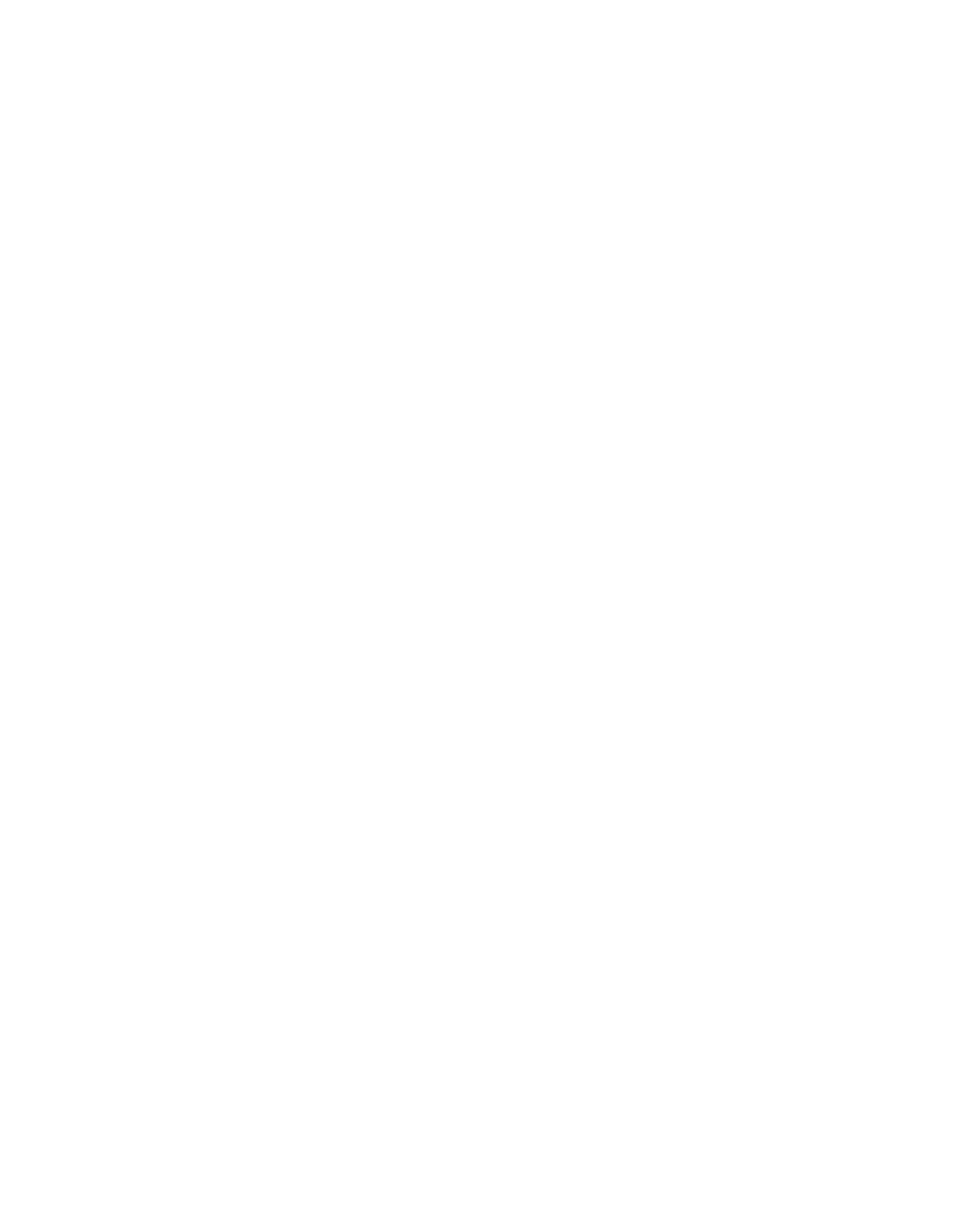possible solution is to construct a candidate set of security classes that will not lead to an information flow policy violation and then choose the most restrictive one(s) from the candidate as the output label.

Complex Multi-Level GLIFT Libraries

More complex GLIFT libraries and circuits consisting of multiple-input gates can be created in a constructive manner. FIG. 3 shows such a constructive method, which reduces the general GLIFT logic generation problem to solving just two-input gates. With the logic of FIG. 3, GLIFT logic can 10 be generated in linear time, and the tracking logic for components in digital circuits discretely from a functionally complete GLIFT library.

In FIG. 3, the basic design flow for inserting GLIFT logic into a design is shown. First, the GLIFT logic for every gate 15 in a hardware design is created and stored in a basic GLIFT library 20 to be used later when analyzing a circuit. An example analysis of a multiplexor 22 is shown. Inputs A, B, and S are inputs to multiplexer (MUX) with output f Gate-level logic gates 24 are mapped for the multiplex or 22 20 from the basic GLIFT library 20. In this example, this MUX 22 then has all of its gates replaced by its appropriate GLIFT logic 26 that was previously created and stored in the basic library 20 and selected based upon the mapping. A GLIFT multiplexor functional component 26 is constructed from 25 individual gate GLIFT logic modules from the library, which in this case are GLIFT AND, GLIFT OR, and GLIFT INV. GLIFT AND is the GLIFT logic for an AND gate, GLIFT OR that of an OR, and GLIFT INV that of an inverter. This GLIFT logic 26 for a MUX functional component can now 30 be added into a complex library module 28 as shown in the Complex GLIFT Library. From this library, a Digital Circuit 30 can then have its logic, functional component by component, replaced with multi-level security logic to create a multi-level GLIFT circuit 32. 35

Label-Propagation Generalized

The invention provides a strategy for propagating labels precisely through a boolean function by using the input values and the Boolean function itself to determine a Candidate Set of labels that are all information flow secure 40 assignments, and then choose the least conservative label from this set.

As an example, to be information flow secure when an output is labeled S1, the method checks whether the only inputs that can affect the output should have labels that are 45 dominated by S1 in the lattice. In case there is more than one non-comparable label in the Candidate Set, the method shows that it is information flow secure to choose any one of them to be propagated.

Understanding the determination of candidate labels is 50 aided by a definition of the Conflict Set of a label. The conflict set for a label includes labels that are either more conservative or labels that are mutually unordered with the label under consideration. For the purposes of non-interference, once an output is assigned a label, no input with a label 55 belonging to the assigned label's conflict set should be able to affect the value of the output.

Algorithms 1 and 2 provide a preferred embodiment label propagation method for a general lattice. The method takes as inputs the logic function and the lattice of labels, and 60 generates a shadow logic function that tracks information flow through the given logic function. This requires enumerating the entire truth table for the shadow logic function, and for each row of the shadow truth table, assigning a precise yet safe security label from the lattice to the output. 65

In the first step, the algorithm generates inputs for the truth table of the shadow logic function by iterating over

every possible assignment to the function's inputs and their labels. The second step executes for each row in the shadow truth table. The algorithm begins by considering every label in the lattice as a potential candidate label for the output. For this, the algorithm computes the current label's conflict set and uses these to find inputs that have labels belonging to this conflict set. A check is conducted to determine whether any combination of inputs that have conflicting labels can affect the value of the output. If the output is affected by some combination of such inputs, then the current label under consideration is not a valid candidate output label. The algorithm then moves on to examine the next label, until, in the worst case, the most conservative label is added to the candidate set.

Algorithm 1 shows the main algorithm for propagating labels through "F" when the labels belong to a general lattice. For each row of the shadow truth table, the algorithm works by determining the lowest possible label such that no combination of inputs with a label above or incomparable with the chosen label can affect F's output.

| procedure propagateLabel                                             |
|----------------------------------------------------------------------|
| input F : combinatorial logic function                               |
| input Labels : set of all labels                                     |
| input Lat : lattice representation of all labels                     |
| input $X$ : set of inputs to $F$ with values in 0.1                  |
| input L: set of input labels with values in Labels                   |
| output Sh_F : truth table for shadow F                               |
| $X$ Set $\leftarrow$ Set of all possible assignments to X            |
| $LSet \leftarrow Set$ of all possible assignments to L               |
| {Shadow truth table requires all combinations of                     |
| # $X \cup L$                                                         |
| for each $XRow \in X$ Set do                                         |
| for each LRow ∈ LSet do                                              |
| Candidate set $\leftarrow \phi$                                      |
| {All labels are candidates for output label of                       |
| the row                                                              |
| for each label ∈ Labels do                                           |
| {C : Set of conflicting inputs for label}                            |
| $C \leftarrow \phi$                                                  |
| for each $l_i \in \text{LRow}$ do                                    |
| if Lat.conflictsWith(l,,label) then                                  |
| $\{x_i\}$ is the input corresponding to label $l_i\}$                |
| $C \leftarrow C \cup \{x_i\}$                                        |
| end if                                                               |
| end for                                                              |
| {Check if C affects $F(X_{row})$ }                                   |
| if not isAffectedBy(F, $X_{row}$ , C) then                           |
| Candidate_set $\leftarrow$ Candidate_set $\cup$ {label}              |
| end if                                                               |
| end for                                                              |
| $Sh_F_{row} \leftarrow$ Lat.ChooseMin(Candidate_set)                 |
| Print $X_{row}$ , $T_{row}$ , $Sh$ <sub>, <math>F_{row}</math></sub> |
| end for                                                              |
| end for                                                              |
| end procedure                                                        |

Algorithm 2 is used in Algorithm 1 to check if the value of a combinatorial function F is affected by a given subset of its inputs.

| procedure isAffectedBy                                |
|-------------------------------------------------------|
| input F : combinatorial logic function                |
| input $X_{row}$ : set of input values                 |
| input $C_{\text{row}}$ : a subset of inputs           |
| func <sub>row</sub> $\leftarrow$ F(X <sub>row</sub> ) |
| {Toggle each combination of subset's elements, and}   |
| {Check if F's output changes}                         |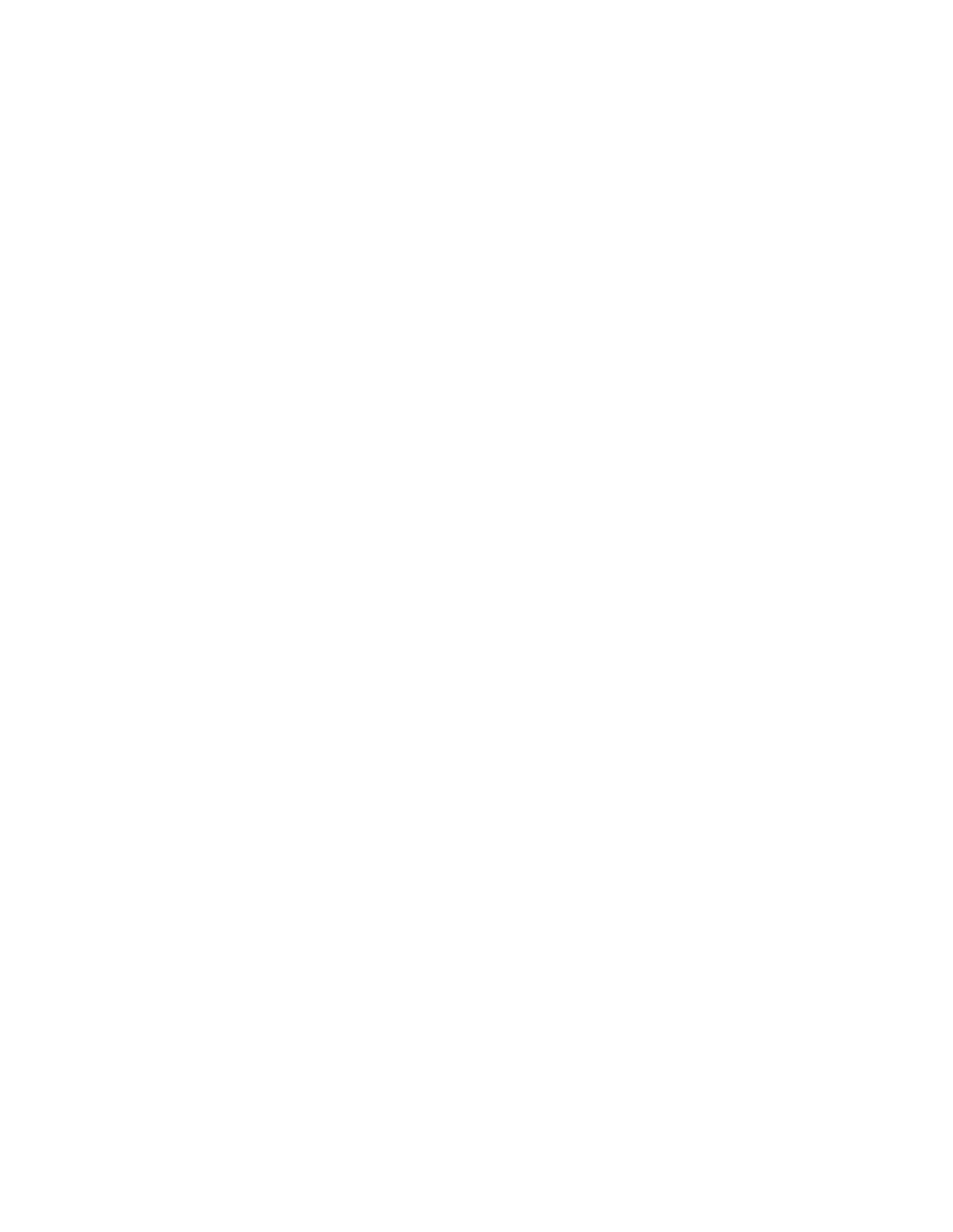$10$ 

|  | continued |
|--|-----------|

| for each Comb $\in$ power set of $C_{\text{max}}$ do<br>Comb <sub>iny</sub> $\leftarrow \{\overline{c_i}\}\$ , where $c_i \in$ Comb<br>func <sub>inv</sub> $\leftarrow$ F(Comb <sub>inv</sub> U (X <sub>row</sub> - Comb))<br>if func <sub>iny</sub> $\neq$ func <sub>row</sub> then<br>return 1<br>end if |  |
|------------------------------------------------------------------------------------------------------------------------------------------------------------------------------------------------------------------------------------------------------------------------------------------------------------|--|
| end for<br>return 0                                                                                                                                                                                                                                                                                        |  |
| end procedure                                                                                                                                                                                                                                                                                              |  |

The most conservative label is always a candidate label, as information can flow from all labels to it (i.e., its conflict set is null). This ensures that the algorithm is guaranteed to assign at least one label for the output for every row in the  $_{15}$ shadow truth table. Having considered all labels, the algorithm will output a candidate set of labels that are all safe to be assigned to the output. The order in which labels are considered is not important.

In the final step, once a candidate set of labels is found, 20 the algorithm will assign the output label most precisely by choosing a label from the candidate set that is the least conservative (or is lowest in the lattice). This choice depends on the following two conditions:

Handling Totally Ordered Labels: If one label in the <sup>25</sup> candidate set is totally ordered and lesser than all the other candidates (i.e. there is a unique lowest candidate label), assign it as the output label.

Handling Mutually Unordered Labels: If there are multiple, mutually unordered labels in the candidate set (e.g. S1 and S2) that are lower than all other labels in the candidate set, then it is safe to choose either one as the output label. We will analyze this case in more detail.

For most cases, there is one label that is the lowest among  $_{35}$ the candidate labels. Multiple incomparable choices emerge when multiple non-comparable labeled inputs have no effect on the output. This occurs, for example, when both inputs a and b are 0 and have labels Secret1 and Secret2 from a square lattice (as shown in FIG. 1D). For this set by itself  $40^{\circ}$ affects the value of the output, and hence both Secret1 and Secret2 could be assigned to the output label legally and belong to the Candidate Set.

Conventionally, given two inputs with labels Secret1 and Secret2, the output would be marked as Top Secret. The 12

rithm checkes that the input's conflict set is ineffective, while not using Top Secret allows the output to remain at a lower security level.

An additional example can demonstrate why choosing any one label is secure. Add a new label Secret3 to the square lattice such that Secret1 dominates Secret3 while Secret<sub>2</sub> is incomparable with Secret<sub>3</sub>. The logic function to be shadowed has two steps: in the first step, Secret1 and Secret2 inputs produce an intermediate output, which is later AND-ed with Secret3-labeled input to create the final output. The interesting case occurs when all three inputs individually do not affect the output, for example when the functions at each step are 2-input AND gates, and all three inputs are 0s. When S1 is chosen after the first step,  $0_{\tiny \textit{Secret1}} \& 0_{\tiny \textit{Secret2}} = 0_{\tiny \textit{Secret1}} \cdot 0_{\tiny \textit{Secret1}} \& 0_{\tiny \textit{Secret3}} = 0_{\tiny \textit{Secret3}}.$ When Secret2 is chosen,  $0_{Secret1}$  &  $0_{Secret2}$   $0_{Secret2}$   $0_{Secret3}$   $0_{Secret4}$  or  $0_{Secret2}$ . This provides the output label being either a precise Secret3 or an imprecise (but safe) Secret2. In either case, the output was not labeled overly conservatively as Top Secret.

The example algorithm is not optimized for efficient execution time. Rather, it is deliberately independent of performance optimizations such as traversing the lattice from bottom to top. This was done for the purposes of illustration to emphasize how the security property is enforced. Artisans will recognize.

**Experimental Simulations** 

To show how the complexity of tracking logic for primitive gates scales, we generated GLIFT logic for the AND-2 gate under several linear security lattices with and without considering the Don't-care set. The resulting circuits are then synthesized using the ABC tool and mapped to the mene standard cell library. FIG. 3 shows the experimental results normalized to the area and delay of GLIFT logic under two-level linear lattice.

The experiments generated GLIFT logic for several IWLS benchmarks under the two to four level linear and square security lattices. Tracking logic is augmented discretely in a constructive manner from a functionally complete GLIFT library. The resulting circuits are synthesized using Synopsis Design Compiler and targeted to its 90 nm standard cell library for area, delay and power reports, as shown in Table III.

**TABLE III** 

|                   | Area $(\text{um}^2)$ |          |          |        | Delay $(ns)$ |          |       | Power $(mW)$ |       |        |
|-------------------|----------------------|----------|----------|--------|--------------|----------|-------|--------------|-------|--------|
| Benchmark         | $2$ -lev             | $3$ -lev | $4$ -lev | Square | $2$ -lev     | $3$ -lev | 4-lev | $3$ -lev     | 4-lev | Square |
| alu2              | 9833                 | 25787    | 30410    | 35571  | 2.10         | 2.71     | 2.66  | 4.99         | 6.45  | 6.95   |
| alu4              | 21242                | 54860    | 64457    | 75869  | 2.85         | 3.41     | 3.54  | 10.9         | 13.8  | 15.1   |
| pair              | 44261                | 113885   | 133797   | 159606 | 1.63         | 2.03     | 1.99  | 19.9         | 26.9  | 28.8   |
| i10               | 60371                | 153896   | 183421   | 216059 | 3.48         | 4.61     | 4.24  | 28.3         | 34.6  | 37.7   |
| C1355             | 16854                | 42910    | 50449    | 59677  | 1.46         | 1.75     | 1.80  | 7.42         | 10.4  | 10.1   |
| C1908             | 13682                | 33978    | 40279    | 47558  | 2.26         | 2.66     | 2.73  | 4.75         | 9.22  | 9.55   |
| C <sub>2670</sub> | 19670                | 50100    | 59216    | 69478  | 1.90         | 2.41     | 3.42  | 8.57         | 12.8  | 13.1   |
| C3540             | 32255                | 83947    | 98314    | 115755 | 2.66         | 3.20     | 3.10  | 14.3         | 19.8  | 21.0   |
| C5315             | 47318                | 122897   | 144400   | 171901 | 2.32         | 2.96     | 2.84  | 19.4         | 31.4  | 32.7   |
| C6288             | 83678                | 215020   | 250832   | 293322 | 8.73         | 9.84     | 10.2  | 23.8         | 53.8  | 52.8   |
| C7552             | 53603                | 135958   | 162224   | 190607 | 3.31         | 3.71     | 3.74  | 19.6         | 36.8  | 37.5   |
| <b>DES</b>        | 102563               | 269418   | 314533   | 379610 | 1.30         | 1.64     | 1.62  | 48.1         | 71.6  | 83.8   |
| N. Average        | 1.00                 | 2.57     | 3.03     | 3.58   | 1.00         | 1.22     | 1.26  | 2.55         | 3.80  | 4.00   |

method of the invention instead selects any one of the lowest candidate labels as the output label, even though they are 65 mutually unordered, while ensuring security and also maintaining precision. Security is maintained because the algo-

From Table III, GLIFT logic typically reports larger area and delay and consumes more power as the security lattices grow more complex. Row N. Average shows the average area, delay and power normalized to those under the two